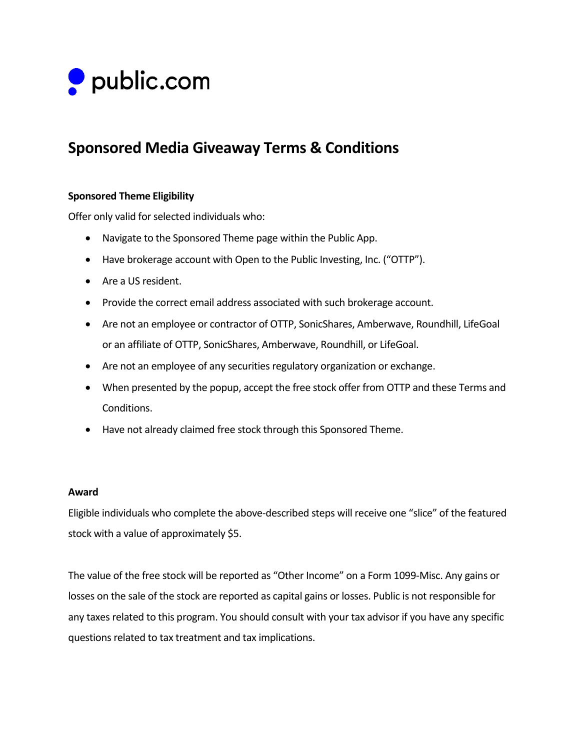

# **Sponsored Media Giveaway Terms & Conditions**

## **Sponsored Theme Eligibility**

Offer only valid for selected individuals who:

- Navigate to the Sponsored Theme page within the Public App.
- Have brokerage account with Open to the Public Investing, Inc. ("OTTP").
- Are a US resident.
- Provide the correct email address associated with such brokerage account.
- Are not an employee or contractor of OTTP, SonicShares, Amberwave, Roundhill, LifeGoal or an affiliate of OTTP, SonicShares, Amberwave, Roundhill, or LifeGoal.
- Are not an employee of any securities regulatory organization or exchange.
- When presented by the popup, accept the free stock offer from OTTP and these Terms and Conditions.
- Have not already claimed free stock through this Sponsored Theme.

#### **Award**

Eligible individuals who complete the above-described steps will receive one "slice" of the featured stock with a value of approximately \$5.

The value of the free stock will be reported as "Other Income" on a Form 1099-Misc. Any gains or losses on the sale of the stock are reported as capital gains or losses. Public is not responsible for any taxes related to this program. You should consult with your tax advisor if you have any specific questions related to tax treatment and tax implications.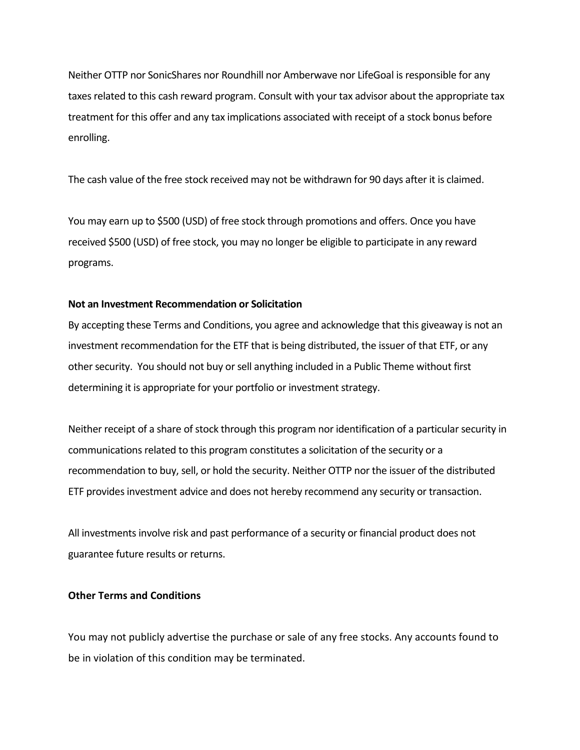Neither OTTP nor SonicShares nor Roundhill nor Amberwave nor LifeGoal is responsible for any taxes related to this cash reward program. Consult with your tax advisor about the appropriate tax treatment for this offer and any tax implications associated with receipt of a stock bonus before enrolling.

The cash value of the free stock received may not be withdrawn for 90 days after it is claimed.

You may earn up to \$500 (USD) of free stock through promotions and offers. Once you have received \$500 (USD) of free stock, you may no longer be eligible to participate in any reward programs.

#### **Not an Investment Recommendation or Solicitation**

By accepting these Terms and Conditions, you agree and acknowledge that this giveaway is not an investment recommendation for the ETF that is being distributed, the issuer of that ETF, or any other security. You should not buy or sell anything included in a Public Theme without first determining it is appropriate for your portfolio or investment strategy.

Neither receipt of a share of stock through this program nor identification of a particular security in communications related to this program constitutes a solicitation of the security or a recommendation to buy, sell, or hold the security. Neither OTTP nor the issuer of the distributed ETF provides investment advice and does not hereby recommend any security or transaction.

All investments involve risk and past performance of a security or financial product does not guarantee future results or returns.

### **Other Terms and Conditions**

You may not publicly advertise the purchase or sale of any free stocks. Any accounts found to be in violation of this condition may be terminated.